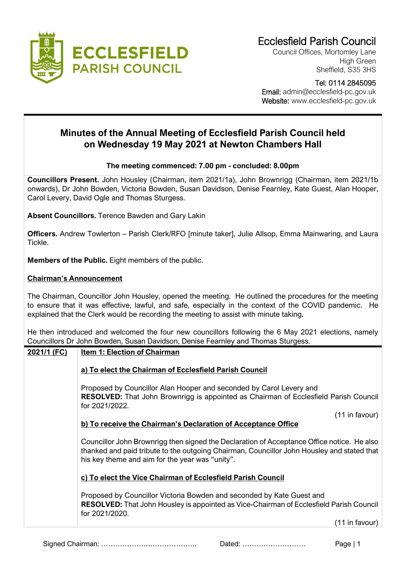

Council Offices, Mortomley Lane High Green Sheffield, S35 3HS

Tel: 0114 2845095

 Email: admin@ecclesfield-pc.gov.uk Website: www.ecclesfield-pc.gov.uk

# **Minutes of the Annual Meeting of Ecclesfield Parish Council held on Wednesday 19 May 2021 at Newton Chambers Hall**

### **The meeting commenced: 7.00 pm - concluded: 8.00pm**

**Councillors Present.** John Housley (Chairman, item 2021/1a), John Brownrigg (Chairman, item 2021/1b onwards), Dr John Bowden, Victoria Bowden, Susan Davidson, Denise Fearnley, Kate Guest, Alan Hooper, Carol Levery, David Ogle and Thomas Sturgess.

**Absent Councillors.** Terence Bawden and Gary Lakin

**Officers.** Andrew Towlerton – Parish Clerk/RFO [minute taker], Julie Allsop, Emma Mainwaring, and Laura Tickle.

**Members of the Public.** Eight members of the public.

### **Chairman's Announcement**

The Chairman, Councillor John Housley, opened the meeting. He outlined the procedures for the meeting to ensure that it was effective, lawful, and safe, especially in the context of the COVID pandemic. He explained that the Clerk would be recording the meeting to assist with minute taking**.**

He then introduced and welcomed the four new councillors following the 6 May 2021 elections, namely Councillors Dr John Bowden, Susan Davidson, Denise Fearnley and Thomas Sturgess.

# **2021/1 (FC) Item 1: Election of Chairman**

# **a) To elect the Chairman of Ecclesfield Parish Council**

Proposed by Councillor Alan Hooper and seconded by Carol Levery and **RESOLVED:** That John Brownrigg is appointed as Chairman of Ecclesfield Parish Council for 2021/2022.

(11 in favour)

# **b) To receive the Chairman's Declaration of Acceptance Office**

Councillor John Brownrigg then signed the Declaration of Acceptance Office notice. He also thanked and paid tribute to the outgoing Chairman, Councillor John Housley and stated that his key theme and aim for the year was "unity".

#### **c) To elect the Vice Chairman of Ecclesfield Parish Council**

Proposed by Councillor Victoria Bowden and seconded by Kate Guest and **RESOLVED:** That John Housley is appointed as Vice-Chairman of Ecclesfield Parish Council for 2021/2020.

(11 in favour)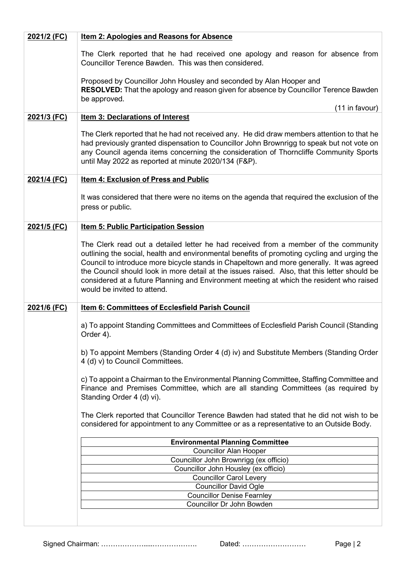| The Clerk reported that he had received one apology and reason for absence from<br>Councillor Terence Bawden. This was then considered.                                                                                                                                                                                                                                                                                                                                                                    |                                |  |  |  |  |
|------------------------------------------------------------------------------------------------------------------------------------------------------------------------------------------------------------------------------------------------------------------------------------------------------------------------------------------------------------------------------------------------------------------------------------------------------------------------------------------------------------|--------------------------------|--|--|--|--|
| Proposed by Councillor John Housley and seconded by Alan Hooper and<br><b>RESOLVED:</b> That the apology and reason given for absence by Councillor Terence Bawden<br>be approved.                                                                                                                                                                                                                                                                                                                         |                                |  |  |  |  |
| (11 in favour)                                                                                                                                                                                                                                                                                                                                                                                                                                                                                             |                                |  |  |  |  |
| <b>Item 3: Declarations of Interest</b><br>2021/3 (FC)                                                                                                                                                                                                                                                                                                                                                                                                                                                     |                                |  |  |  |  |
| The Clerk reported that he had not received any. He did draw members attention to that he<br>had previously granted dispensation to Councillor John Brownrigg to speak but not vote on<br>any Council agenda items concerning the consideration of Thorncliffe Community Sports<br>until May 2022 as reported at minute 2020/134 (F&P).                                                                                                                                                                    |                                |  |  |  |  |
| 2021/4 (FC)<br>Item 4: Exclusion of Press and Public                                                                                                                                                                                                                                                                                                                                                                                                                                                       |                                |  |  |  |  |
| It was considered that there were no items on the agenda that required the exclusion of the<br>press or public.                                                                                                                                                                                                                                                                                                                                                                                            |                                |  |  |  |  |
| 2021/5 (FC)<br><b>Item 5: Public Participation Session</b>                                                                                                                                                                                                                                                                                                                                                                                                                                                 |                                |  |  |  |  |
| The Clerk read out a detailed letter he had received from a member of the community<br>outlining the social, health and environmental benefits of promoting cycling and urging the<br>Council to introduce more bicycle stands in Chapeltown and more generally. It was agreed<br>the Council should look in more detail at the issues raised. Also, that this letter should be<br>considered at a future Planning and Environment meeting at which the resident who raised<br>would be invited to attend. |                                |  |  |  |  |
| 2021/6 (FC)<br>Item 6: Committees of Ecclesfield Parish Council                                                                                                                                                                                                                                                                                                                                                                                                                                            |                                |  |  |  |  |
| a) To appoint Standing Committees and Committees of Ecclesfield Parish Council (Standing<br>Order 4).                                                                                                                                                                                                                                                                                                                                                                                                      |                                |  |  |  |  |
| b) To appoint Members (Standing Order 4 (d) iv) and Substitute Members (Standing Order<br>4 (d) v) to Council Committees.                                                                                                                                                                                                                                                                                                                                                                                  |                                |  |  |  |  |
| c) To appoint a Chairman to the Environmental Planning Committee, Staffing Committee and<br>Finance and Premises Committee, which are all standing Committees (as required by<br>Standing Order 4 (d) vi).                                                                                                                                                                                                                                                                                                 |                                |  |  |  |  |
| The Clerk reported that Councillor Terence Bawden had stated that he did not wish to be<br>considered for appointment to any Committee or as a representative to an Outside Body.                                                                                                                                                                                                                                                                                                                          |                                |  |  |  |  |
| <b>Environmental Planning Committee</b>                                                                                                                                                                                                                                                                                                                                                                                                                                                                    |                                |  |  |  |  |
| <b>Councillor Alan Hooper</b>                                                                                                                                                                                                                                                                                                                                                                                                                                                                              |                                |  |  |  |  |
| Councillor John Brownrigg (ex officio)                                                                                                                                                                                                                                                                                                                                                                                                                                                                     |                                |  |  |  |  |
| Councillor John Housley (ex officio)                                                                                                                                                                                                                                                                                                                                                                                                                                                                       |                                |  |  |  |  |
| <b>Councillor David Ogle</b>                                                                                                                                                                                                                                                                                                                                                                                                                                                                               | <b>Councillor Carol Levery</b> |  |  |  |  |
| <b>Councillor Denise Fearnley</b>                                                                                                                                                                                                                                                                                                                                                                                                                                                                          |                                |  |  |  |  |
| Councillor Dr John Bowden                                                                                                                                                                                                                                                                                                                                                                                                                                                                                  |                                |  |  |  |  |
|                                                                                                                                                                                                                                                                                                                                                                                                                                                                                                            |                                |  |  |  |  |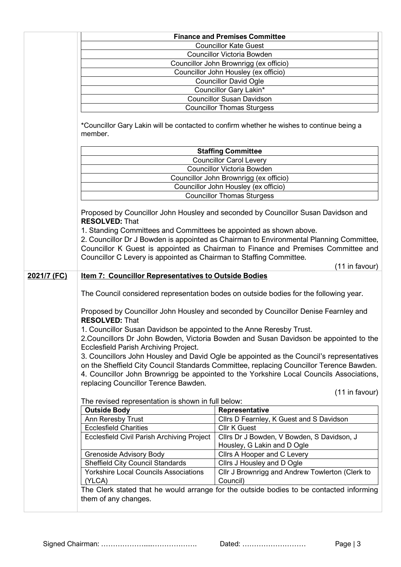| Councillor Victoria Bowden<br>Councillor John Brownrigg (ex officio)<br>Councillor John Housley (ex officio)<br><b>Councillor David Ogle</b><br>Councillor Gary Lakin*<br><b>Councillor Susan Davidson</b><br><b>Councillor Thomas Sturgess</b><br>*Councillor Gary Lakin will be contacted to confirm whether he wishes to continue being a<br>member.<br><b>Staffing Committee</b><br><b>Councillor Carol Levery</b><br>Councillor Victoria Bowden<br>Councillor John Brownrigg (ex officio)<br>Councillor John Housley (ex officio)<br><b>Councillor Thomas Sturgess</b><br>Proposed by Councillor John Housley and seconded by Councillor Susan Davidson and<br><b>RESOLVED: That</b><br>1. Standing Committees and Committees be appointed as shown above.<br>2. Councillor Dr J Bowden is appointed as Chairman to Environmental Planning Committee,<br>Councillor K Guest is appointed as Chairman to Finance and Premises Committee and<br>Councillor C Levery is appointed as Chairman to Staffing Committee.<br>(11 in favour)<br>2021/7 (FC)<br><b>Item 7: Councillor Representatives to Outside Bodies</b><br>The Council considered representation bodes on outside bodies for the following year.<br>Proposed by Councillor John Housley and seconded by Councillor Denise Fearnley and<br><b>RESOLVED: That</b><br>1. Councillor Susan Davidson be appointed to the Anne Reresby Trust.<br>2. Councillors Dr John Bowden, Victoria Bowden and Susan Davidson be appointed to the<br>Ecclesfield Parish Archiving Project.<br>3. Councillors John Housley and David Ogle be appointed as the Council's representatives<br>on the Sheffield City Council Standards Committee, replacing Councillor Terence Bawden.<br>4. Councillor John Brownrigg be appointed to the Yorkshire Local Councils Associations,<br>replacing Councillor Terence Bawden.<br>(11 in favour)<br>The revised representation is shown in full below:<br><b>Outside Body</b><br>Representative<br>Ann Reresby Trust<br>Cllrs D Fearnley, K Guest and S Davidson<br><b>Ecclesfield Charities</b><br><b>Cllr K Guest</b><br>Ecclesfield Civil Parish Archiving Project<br>Cllrs Dr J Bowden, V Bowden, S Davidson, J<br>Housley, G Lakin and D Ogle<br>Grenoside Advisory Body<br>Cllrs A Hooper and C Levery<br><b>Sheffield City Council Standards</b><br>Cllrs J Housley and D Ogle |  | <b>Finance and Premises Committee</b> |  |  |  |  |
|---------------------------------------------------------------------------------------------------------------------------------------------------------------------------------------------------------------------------------------------------------------------------------------------------------------------------------------------------------------------------------------------------------------------------------------------------------------------------------------------------------------------------------------------------------------------------------------------------------------------------------------------------------------------------------------------------------------------------------------------------------------------------------------------------------------------------------------------------------------------------------------------------------------------------------------------------------------------------------------------------------------------------------------------------------------------------------------------------------------------------------------------------------------------------------------------------------------------------------------------------------------------------------------------------------------------------------------------------------------------------------------------------------------------------------------------------------------------------------------------------------------------------------------------------------------------------------------------------------------------------------------------------------------------------------------------------------------------------------------------------------------------------------------------------------------------------------------------------------------------------------------------------------------------------------------------------------------------------------------------------------------------------------------------------------------------------------------------------------------------------------------------------------------------------------------------------------------------------------------------------------------------------------------------------------------------------------------------------------------------------|--|---------------------------------------|--|--|--|--|
|                                                                                                                                                                                                                                                                                                                                                                                                                                                                                                                                                                                                                                                                                                                                                                                                                                                                                                                                                                                                                                                                                                                                                                                                                                                                                                                                                                                                                                                                                                                                                                                                                                                                                                                                                                                                                                                                                                                                                                                                                                                                                                                                                                                                                                                                                                                                                                           |  | <b>Councillor Kate Guest</b>          |  |  |  |  |
|                                                                                                                                                                                                                                                                                                                                                                                                                                                                                                                                                                                                                                                                                                                                                                                                                                                                                                                                                                                                                                                                                                                                                                                                                                                                                                                                                                                                                                                                                                                                                                                                                                                                                                                                                                                                                                                                                                                                                                                                                                                                                                                                                                                                                                                                                                                                                                           |  |                                       |  |  |  |  |
|                                                                                                                                                                                                                                                                                                                                                                                                                                                                                                                                                                                                                                                                                                                                                                                                                                                                                                                                                                                                                                                                                                                                                                                                                                                                                                                                                                                                                                                                                                                                                                                                                                                                                                                                                                                                                                                                                                                                                                                                                                                                                                                                                                                                                                                                                                                                                                           |  |                                       |  |  |  |  |
|                                                                                                                                                                                                                                                                                                                                                                                                                                                                                                                                                                                                                                                                                                                                                                                                                                                                                                                                                                                                                                                                                                                                                                                                                                                                                                                                                                                                                                                                                                                                                                                                                                                                                                                                                                                                                                                                                                                                                                                                                                                                                                                                                                                                                                                                                                                                                                           |  |                                       |  |  |  |  |
|                                                                                                                                                                                                                                                                                                                                                                                                                                                                                                                                                                                                                                                                                                                                                                                                                                                                                                                                                                                                                                                                                                                                                                                                                                                                                                                                                                                                                                                                                                                                                                                                                                                                                                                                                                                                                                                                                                                                                                                                                                                                                                                                                                                                                                                                                                                                                                           |  |                                       |  |  |  |  |
|                                                                                                                                                                                                                                                                                                                                                                                                                                                                                                                                                                                                                                                                                                                                                                                                                                                                                                                                                                                                                                                                                                                                                                                                                                                                                                                                                                                                                                                                                                                                                                                                                                                                                                                                                                                                                                                                                                                                                                                                                                                                                                                                                                                                                                                                                                                                                                           |  |                                       |  |  |  |  |
|                                                                                                                                                                                                                                                                                                                                                                                                                                                                                                                                                                                                                                                                                                                                                                                                                                                                                                                                                                                                                                                                                                                                                                                                                                                                                                                                                                                                                                                                                                                                                                                                                                                                                                                                                                                                                                                                                                                                                                                                                                                                                                                                                                                                                                                                                                                                                                           |  |                                       |  |  |  |  |
|                                                                                                                                                                                                                                                                                                                                                                                                                                                                                                                                                                                                                                                                                                                                                                                                                                                                                                                                                                                                                                                                                                                                                                                                                                                                                                                                                                                                                                                                                                                                                                                                                                                                                                                                                                                                                                                                                                                                                                                                                                                                                                                                                                                                                                                                                                                                                                           |  |                                       |  |  |  |  |
|                                                                                                                                                                                                                                                                                                                                                                                                                                                                                                                                                                                                                                                                                                                                                                                                                                                                                                                                                                                                                                                                                                                                                                                                                                                                                                                                                                                                                                                                                                                                                                                                                                                                                                                                                                                                                                                                                                                                                                                                                                                                                                                                                                                                                                                                                                                                                                           |  |                                       |  |  |  |  |
|                                                                                                                                                                                                                                                                                                                                                                                                                                                                                                                                                                                                                                                                                                                                                                                                                                                                                                                                                                                                                                                                                                                                                                                                                                                                                                                                                                                                                                                                                                                                                                                                                                                                                                                                                                                                                                                                                                                                                                                                                                                                                                                                                                                                                                                                                                                                                                           |  |                                       |  |  |  |  |
|                                                                                                                                                                                                                                                                                                                                                                                                                                                                                                                                                                                                                                                                                                                                                                                                                                                                                                                                                                                                                                                                                                                                                                                                                                                                                                                                                                                                                                                                                                                                                                                                                                                                                                                                                                                                                                                                                                                                                                                                                                                                                                                                                                                                                                                                                                                                                                           |  |                                       |  |  |  |  |
|                                                                                                                                                                                                                                                                                                                                                                                                                                                                                                                                                                                                                                                                                                                                                                                                                                                                                                                                                                                                                                                                                                                                                                                                                                                                                                                                                                                                                                                                                                                                                                                                                                                                                                                                                                                                                                                                                                                                                                                                                                                                                                                                                                                                                                                                                                                                                                           |  |                                       |  |  |  |  |
|                                                                                                                                                                                                                                                                                                                                                                                                                                                                                                                                                                                                                                                                                                                                                                                                                                                                                                                                                                                                                                                                                                                                                                                                                                                                                                                                                                                                                                                                                                                                                                                                                                                                                                                                                                                                                                                                                                                                                                                                                                                                                                                                                                                                                                                                                                                                                                           |  |                                       |  |  |  |  |
|                                                                                                                                                                                                                                                                                                                                                                                                                                                                                                                                                                                                                                                                                                                                                                                                                                                                                                                                                                                                                                                                                                                                                                                                                                                                                                                                                                                                                                                                                                                                                                                                                                                                                                                                                                                                                                                                                                                                                                                                                                                                                                                                                                                                                                                                                                                                                                           |  |                                       |  |  |  |  |
|                                                                                                                                                                                                                                                                                                                                                                                                                                                                                                                                                                                                                                                                                                                                                                                                                                                                                                                                                                                                                                                                                                                                                                                                                                                                                                                                                                                                                                                                                                                                                                                                                                                                                                                                                                                                                                                                                                                                                                                                                                                                                                                                                                                                                                                                                                                                                                           |  |                                       |  |  |  |  |
|                                                                                                                                                                                                                                                                                                                                                                                                                                                                                                                                                                                                                                                                                                                                                                                                                                                                                                                                                                                                                                                                                                                                                                                                                                                                                                                                                                                                                                                                                                                                                                                                                                                                                                                                                                                                                                                                                                                                                                                                                                                                                                                                                                                                                                                                                                                                                                           |  |                                       |  |  |  |  |
|                                                                                                                                                                                                                                                                                                                                                                                                                                                                                                                                                                                                                                                                                                                                                                                                                                                                                                                                                                                                                                                                                                                                                                                                                                                                                                                                                                                                                                                                                                                                                                                                                                                                                                                                                                                                                                                                                                                                                                                                                                                                                                                                                                                                                                                                                                                                                                           |  |                                       |  |  |  |  |
|                                                                                                                                                                                                                                                                                                                                                                                                                                                                                                                                                                                                                                                                                                                                                                                                                                                                                                                                                                                                                                                                                                                                                                                                                                                                                                                                                                                                                                                                                                                                                                                                                                                                                                                                                                                                                                                                                                                                                                                                                                                                                                                                                                                                                                                                                                                                                                           |  |                                       |  |  |  |  |
|                                                                                                                                                                                                                                                                                                                                                                                                                                                                                                                                                                                                                                                                                                                                                                                                                                                                                                                                                                                                                                                                                                                                                                                                                                                                                                                                                                                                                                                                                                                                                                                                                                                                                                                                                                                                                                                                                                                                                                                                                                                                                                                                                                                                                                                                                                                                                                           |  |                                       |  |  |  |  |
|                                                                                                                                                                                                                                                                                                                                                                                                                                                                                                                                                                                                                                                                                                                                                                                                                                                                                                                                                                                                                                                                                                                                                                                                                                                                                                                                                                                                                                                                                                                                                                                                                                                                                                                                                                                                                                                                                                                                                                                                                                                                                                                                                                                                                                                                                                                                                                           |  |                                       |  |  |  |  |
|                                                                                                                                                                                                                                                                                                                                                                                                                                                                                                                                                                                                                                                                                                                                                                                                                                                                                                                                                                                                                                                                                                                                                                                                                                                                                                                                                                                                                                                                                                                                                                                                                                                                                                                                                                                                                                                                                                                                                                                                                                                                                                                                                                                                                                                                                                                                                                           |  |                                       |  |  |  |  |
|                                                                                                                                                                                                                                                                                                                                                                                                                                                                                                                                                                                                                                                                                                                                                                                                                                                                                                                                                                                                                                                                                                                                                                                                                                                                                                                                                                                                                                                                                                                                                                                                                                                                                                                                                                                                                                                                                                                                                                                                                                                                                                                                                                                                                                                                                                                                                                           |  |                                       |  |  |  |  |
|                                                                                                                                                                                                                                                                                                                                                                                                                                                                                                                                                                                                                                                                                                                                                                                                                                                                                                                                                                                                                                                                                                                                                                                                                                                                                                                                                                                                                                                                                                                                                                                                                                                                                                                                                                                                                                                                                                                                                                                                                                                                                                                                                                                                                                                                                                                                                                           |  |                                       |  |  |  |  |
|                                                                                                                                                                                                                                                                                                                                                                                                                                                                                                                                                                                                                                                                                                                                                                                                                                                                                                                                                                                                                                                                                                                                                                                                                                                                                                                                                                                                                                                                                                                                                                                                                                                                                                                                                                                                                                                                                                                                                                                                                                                                                                                                                                                                                                                                                                                                                                           |  |                                       |  |  |  |  |
|                                                                                                                                                                                                                                                                                                                                                                                                                                                                                                                                                                                                                                                                                                                                                                                                                                                                                                                                                                                                                                                                                                                                                                                                                                                                                                                                                                                                                                                                                                                                                                                                                                                                                                                                                                                                                                                                                                                                                                                                                                                                                                                                                                                                                                                                                                                                                                           |  |                                       |  |  |  |  |
|                                                                                                                                                                                                                                                                                                                                                                                                                                                                                                                                                                                                                                                                                                                                                                                                                                                                                                                                                                                                                                                                                                                                                                                                                                                                                                                                                                                                                                                                                                                                                                                                                                                                                                                                                                                                                                                                                                                                                                                                                                                                                                                                                                                                                                                                                                                                                                           |  |                                       |  |  |  |  |
|                                                                                                                                                                                                                                                                                                                                                                                                                                                                                                                                                                                                                                                                                                                                                                                                                                                                                                                                                                                                                                                                                                                                                                                                                                                                                                                                                                                                                                                                                                                                                                                                                                                                                                                                                                                                                                                                                                                                                                                                                                                                                                                                                                                                                                                                                                                                                                           |  |                                       |  |  |  |  |
|                                                                                                                                                                                                                                                                                                                                                                                                                                                                                                                                                                                                                                                                                                                                                                                                                                                                                                                                                                                                                                                                                                                                                                                                                                                                                                                                                                                                                                                                                                                                                                                                                                                                                                                                                                                                                                                                                                                                                                                                                                                                                                                                                                                                                                                                                                                                                                           |  |                                       |  |  |  |  |
|                                                                                                                                                                                                                                                                                                                                                                                                                                                                                                                                                                                                                                                                                                                                                                                                                                                                                                                                                                                                                                                                                                                                                                                                                                                                                                                                                                                                                                                                                                                                                                                                                                                                                                                                                                                                                                                                                                                                                                                                                                                                                                                                                                                                                                                                                                                                                                           |  |                                       |  |  |  |  |
|                                                                                                                                                                                                                                                                                                                                                                                                                                                                                                                                                                                                                                                                                                                                                                                                                                                                                                                                                                                                                                                                                                                                                                                                                                                                                                                                                                                                                                                                                                                                                                                                                                                                                                                                                                                                                                                                                                                                                                                                                                                                                                                                                                                                                                                                                                                                                                           |  |                                       |  |  |  |  |
|                                                                                                                                                                                                                                                                                                                                                                                                                                                                                                                                                                                                                                                                                                                                                                                                                                                                                                                                                                                                                                                                                                                                                                                                                                                                                                                                                                                                                                                                                                                                                                                                                                                                                                                                                                                                                                                                                                                                                                                                                                                                                                                                                                                                                                                                                                                                                                           |  |                                       |  |  |  |  |
|                                                                                                                                                                                                                                                                                                                                                                                                                                                                                                                                                                                                                                                                                                                                                                                                                                                                                                                                                                                                                                                                                                                                                                                                                                                                                                                                                                                                                                                                                                                                                                                                                                                                                                                                                                                                                                                                                                                                                                                                                                                                                                                                                                                                                                                                                                                                                                           |  |                                       |  |  |  |  |
|                                                                                                                                                                                                                                                                                                                                                                                                                                                                                                                                                                                                                                                                                                                                                                                                                                                                                                                                                                                                                                                                                                                                                                                                                                                                                                                                                                                                                                                                                                                                                                                                                                                                                                                                                                                                                                                                                                                                                                                                                                                                                                                                                                                                                                                                                                                                                                           |  |                                       |  |  |  |  |
|                                                                                                                                                                                                                                                                                                                                                                                                                                                                                                                                                                                                                                                                                                                                                                                                                                                                                                                                                                                                                                                                                                                                                                                                                                                                                                                                                                                                                                                                                                                                                                                                                                                                                                                                                                                                                                                                                                                                                                                                                                                                                                                                                                                                                                                                                                                                                                           |  |                                       |  |  |  |  |
|                                                                                                                                                                                                                                                                                                                                                                                                                                                                                                                                                                                                                                                                                                                                                                                                                                                                                                                                                                                                                                                                                                                                                                                                                                                                                                                                                                                                                                                                                                                                                                                                                                                                                                                                                                                                                                                                                                                                                                                                                                                                                                                                                                                                                                                                                                                                                                           |  |                                       |  |  |  |  |
|                                                                                                                                                                                                                                                                                                                                                                                                                                                                                                                                                                                                                                                                                                                                                                                                                                                                                                                                                                                                                                                                                                                                                                                                                                                                                                                                                                                                                                                                                                                                                                                                                                                                                                                                                                                                                                                                                                                                                                                                                                                                                                                                                                                                                                                                                                                                                                           |  |                                       |  |  |  |  |
|                                                                                                                                                                                                                                                                                                                                                                                                                                                                                                                                                                                                                                                                                                                                                                                                                                                                                                                                                                                                                                                                                                                                                                                                                                                                                                                                                                                                                                                                                                                                                                                                                                                                                                                                                                                                                                                                                                                                                                                                                                                                                                                                                                                                                                                                                                                                                                           |  |                                       |  |  |  |  |
|                                                                                                                                                                                                                                                                                                                                                                                                                                                                                                                                                                                                                                                                                                                                                                                                                                                                                                                                                                                                                                                                                                                                                                                                                                                                                                                                                                                                                                                                                                                                                                                                                                                                                                                                                                                                                                                                                                                                                                                                                                                                                                                                                                                                                                                                                                                                                                           |  |                                       |  |  |  |  |
|                                                                                                                                                                                                                                                                                                                                                                                                                                                                                                                                                                                                                                                                                                                                                                                                                                                                                                                                                                                                                                                                                                                                                                                                                                                                                                                                                                                                                                                                                                                                                                                                                                                                                                                                                                                                                                                                                                                                                                                                                                                                                                                                                                                                                                                                                                                                                                           |  |                                       |  |  |  |  |
|                                                                                                                                                                                                                                                                                                                                                                                                                                                                                                                                                                                                                                                                                                                                                                                                                                                                                                                                                                                                                                                                                                                                                                                                                                                                                                                                                                                                                                                                                                                                                                                                                                                                                                                                                                                                                                                                                                                                                                                                                                                                                                                                                                                                                                                                                                                                                                           |  |                                       |  |  |  |  |
|                                                                                                                                                                                                                                                                                                                                                                                                                                                                                                                                                                                                                                                                                                                                                                                                                                                                                                                                                                                                                                                                                                                                                                                                                                                                                                                                                                                                                                                                                                                                                                                                                                                                                                                                                                                                                                                                                                                                                                                                                                                                                                                                                                                                                                                                                                                                                                           |  |                                       |  |  |  |  |
|                                                                                                                                                                                                                                                                                                                                                                                                                                                                                                                                                                                                                                                                                                                                                                                                                                                                                                                                                                                                                                                                                                                                                                                                                                                                                                                                                                                                                                                                                                                                                                                                                                                                                                                                                                                                                                                                                                                                                                                                                                                                                                                                                                                                                                                                                                                                                                           |  |                                       |  |  |  |  |
|                                                                                                                                                                                                                                                                                                                                                                                                                                                                                                                                                                                                                                                                                                                                                                                                                                                                                                                                                                                                                                                                                                                                                                                                                                                                                                                                                                                                                                                                                                                                                                                                                                                                                                                                                                                                                                                                                                                                                                                                                                                                                                                                                                                                                                                                                                                                                                           |  |                                       |  |  |  |  |
| <b>Yorkshire Local Councils Associations</b><br>Cllr J Brownrigg and Andrew Towlerton (Clerk to                                                                                                                                                                                                                                                                                                                                                                                                                                                                                                                                                                                                                                                                                                                                                                                                                                                                                                                                                                                                                                                                                                                                                                                                                                                                                                                                                                                                                                                                                                                                                                                                                                                                                                                                                                                                                                                                                                                                                                                                                                                                                                                                                                                                                                                                           |  |                                       |  |  |  |  |
| (YLCA)<br>Council)                                                                                                                                                                                                                                                                                                                                                                                                                                                                                                                                                                                                                                                                                                                                                                                                                                                                                                                                                                                                                                                                                                                                                                                                                                                                                                                                                                                                                                                                                                                                                                                                                                                                                                                                                                                                                                                                                                                                                                                                                                                                                                                                                                                                                                                                                                                                                        |  |                                       |  |  |  |  |
| The Clerk stated that he would arrange for the outside bodies to be contacted informing                                                                                                                                                                                                                                                                                                                                                                                                                                                                                                                                                                                                                                                                                                                                                                                                                                                                                                                                                                                                                                                                                                                                                                                                                                                                                                                                                                                                                                                                                                                                                                                                                                                                                                                                                                                                                                                                                                                                                                                                                                                                                                                                                                                                                                                                                   |  |                                       |  |  |  |  |
| them of any changes.                                                                                                                                                                                                                                                                                                                                                                                                                                                                                                                                                                                                                                                                                                                                                                                                                                                                                                                                                                                                                                                                                                                                                                                                                                                                                                                                                                                                                                                                                                                                                                                                                                                                                                                                                                                                                                                                                                                                                                                                                                                                                                                                                                                                                                                                                                                                                      |  |                                       |  |  |  |  |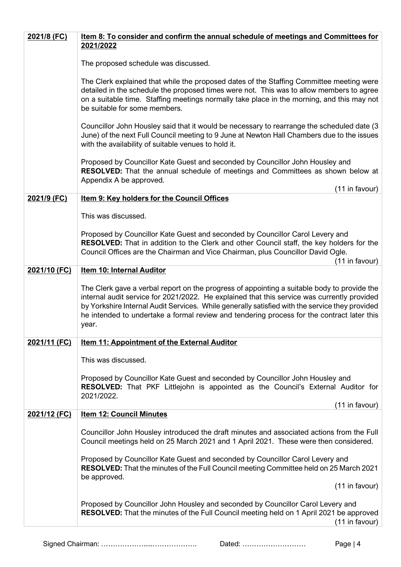| 2021/8 (FC)  | Item 8: To consider and confirm the annual schedule of meetings and Committees for                                                                                                                                                                                                                                                                                                                  |
|--------------|-----------------------------------------------------------------------------------------------------------------------------------------------------------------------------------------------------------------------------------------------------------------------------------------------------------------------------------------------------------------------------------------------------|
|              | 2021/2022                                                                                                                                                                                                                                                                                                                                                                                           |
|              | The proposed schedule was discussed.                                                                                                                                                                                                                                                                                                                                                                |
|              | The Clerk explained that while the proposed dates of the Staffing Committee meeting were<br>detailed in the schedule the proposed times were not. This was to allow members to agree<br>on a suitable time. Staffing meetings normally take place in the morning, and this may not<br>be suitable for some members.                                                                                 |
|              | Councillor John Housley said that it would be necessary to rearrange the scheduled date (3<br>June) of the next Full Council meeting to 9 June at Newton Hall Chambers due to the issues<br>with the availability of suitable venues to hold it.                                                                                                                                                    |
|              | Proposed by Councillor Kate Guest and seconded by Councillor John Housley and<br><b>RESOLVED:</b> That the annual schedule of meetings and Committees as shown below at<br>Appendix A be approved.<br>(11 in favour)                                                                                                                                                                                |
| 2021/9 (FC)  | <b>Item 9: Key holders for the Council Offices</b>                                                                                                                                                                                                                                                                                                                                                  |
|              | This was discussed.                                                                                                                                                                                                                                                                                                                                                                                 |
|              | Proposed by Councillor Kate Guest and seconded by Councillor Carol Levery and<br>RESOLVED: That in addition to the Clerk and other Council staff, the key holders for the<br>Council Offices are the Chairman and Vice Chairman, plus Councillor David Ogle.<br>(11 in favour)                                                                                                                      |
| 2021/10 (FC) | <b>Item 10: Internal Auditor</b>                                                                                                                                                                                                                                                                                                                                                                    |
|              | The Clerk gave a verbal report on the progress of appointing a suitable body to provide the<br>internal audit service for 2021/2022. He explained that this service was currently provided<br>by Yorkshire Internal Audit Services. While generally satisfied with the service they provided<br>he intended to undertake a formal review and tendering process for the contract later this<br>year. |
| 2021/11 (FC) | <b>Item 11: Appointment of the External Auditor</b>                                                                                                                                                                                                                                                                                                                                                 |
|              | This was discussed.                                                                                                                                                                                                                                                                                                                                                                                 |
|              | Proposed by Councillor Kate Guest and seconded by Councillor John Housley and<br>RESOLVED: That PKF Littlejohn is appointed as the Council's External Auditor for<br>2021/2022.                                                                                                                                                                                                                     |
|              | (11 in favour)                                                                                                                                                                                                                                                                                                                                                                                      |
| 2021/12 (FC) | <b>Item 12: Council Minutes</b>                                                                                                                                                                                                                                                                                                                                                                     |
|              | Councillor John Housley introduced the draft minutes and associated actions from the Full<br>Council meetings held on 25 March 2021 and 1 April 2021. These were then considered.                                                                                                                                                                                                                   |
|              | Proposed by Councillor Kate Guest and seconded by Councillor Carol Levery and<br>RESOLVED: That the minutes of the Full Council meeting Committee held on 25 March 2021<br>be approved.                                                                                                                                                                                                             |
|              | (11 in favour)                                                                                                                                                                                                                                                                                                                                                                                      |
|              | Proposed by Councillor John Housley and seconded by Councillor Carol Levery and<br><b>RESOLVED:</b> That the minutes of the Full Council meeting held on 1 April 2021 be approved<br>(11 in favour)                                                                                                                                                                                                 |
|              |                                                                                                                                                                                                                                                                                                                                                                                                     |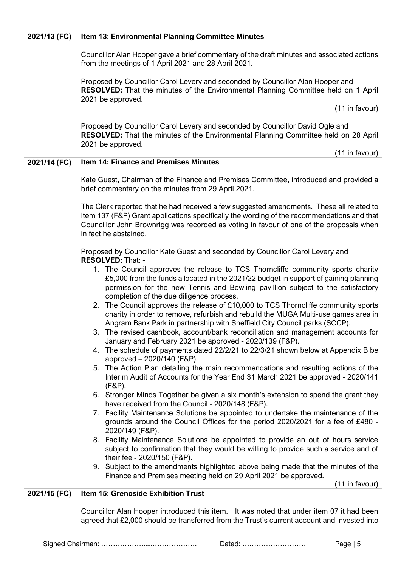| 2021/13 (FC) | <b>Item 13: Environmental Planning Committee Minutes</b>                                                                                                                                                                                                                                                                    |  |  |  |  |
|--------------|-----------------------------------------------------------------------------------------------------------------------------------------------------------------------------------------------------------------------------------------------------------------------------------------------------------------------------|--|--|--|--|
|              | Councillor Alan Hooper gave a brief commentary of the draft minutes and associated actions<br>from the meetings of 1 April 2021 and 28 April 2021.                                                                                                                                                                          |  |  |  |  |
|              | Proposed by Councillor Carol Levery and seconded by Councillor Alan Hooper and<br>RESOLVED: That the minutes of the Environmental Planning Committee held on 1 April                                                                                                                                                        |  |  |  |  |
|              | 2021 be approved.<br>(11 in favour)                                                                                                                                                                                                                                                                                         |  |  |  |  |
|              | Proposed by Councillor Carol Levery and seconded by Councillor David Ogle and<br>RESOLVED: That the minutes of the Environmental Planning Committee held on 28 April<br>2021 be approved.                                                                                                                                   |  |  |  |  |
| 2021/14 (FC) | (11 in favour)<br><b>Item 14: Finance and Premises Minutes</b>                                                                                                                                                                                                                                                              |  |  |  |  |
|              | Kate Guest, Chairman of the Finance and Premises Committee, introduced and provided a<br>brief commentary on the minutes from 29 April 2021.                                                                                                                                                                                |  |  |  |  |
|              | The Clerk reported that he had received a few suggested amendments. These all related to<br>Item 137 (F&P) Grant applications specifically the wording of the recommendations and that<br>Councillor John Brownrigg was recorded as voting in favour of one of the proposals when<br>in fact he abstained.                  |  |  |  |  |
|              | Proposed by Councillor Kate Guest and seconded by Councillor Carol Levery and                                                                                                                                                                                                                                               |  |  |  |  |
|              | RESOLVED: That: -<br>1. The Council approves the release to TCS Thorncliffe community sports charity<br>£5,000 from the funds allocated in the 2021/22 budget in support of gaining planning<br>permission for the new Tennis and Bowling pavillion subject to the satisfactory<br>completion of the due diligence process. |  |  |  |  |
|              | 2. The Council approves the release of £10,000 to TCS Thorncliffe community sports<br>charity in order to remove, refurbish and rebuild the MUGA Multi-use games area in<br>Angram Bank Park in partnership with Sheffield City Council parks (SCCP).                                                                       |  |  |  |  |
|              | 3. The revised cashbook, account/bank reconciliation and management accounts for<br>January and February 2021 be approved - 2020/139 (F&P).                                                                                                                                                                                 |  |  |  |  |
|              | 4. The schedule of payments dated 22/2/21 to 22/3/21 shown below at Appendix B be<br>approved - 2020/140 (F&P).                                                                                                                                                                                                             |  |  |  |  |
|              | 5. The Action Plan detailing the main recommendations and resulting actions of the<br>Interim Audit of Accounts for the Year End 31 March 2021 be approved - 2020/141<br>$(F&P)$ .                                                                                                                                          |  |  |  |  |
|              | 6. Stronger Minds Together be given a six month's extension to spend the grant they<br>have received from the Council - 2020/148 (F&P).                                                                                                                                                                                     |  |  |  |  |
|              | 7. Facility Maintenance Solutions be appointed to undertake the maintenance of the<br>grounds around the Council Offices for the period 2020/2021 for a fee of £480 -<br>2020/149 (F&P).                                                                                                                                    |  |  |  |  |
|              | 8. Facility Maintenance Solutions be appointed to provide an out of hours service<br>subject to confirmation that they would be willing to provide such a service and of<br>their fee - 2020/150 (F&P).                                                                                                                     |  |  |  |  |
|              | 9. Subject to the amendments highlighted above being made that the minutes of the<br>Finance and Premises meeting held on 29 April 2021 be approved.                                                                                                                                                                        |  |  |  |  |
| 2021/15 (FC) | (11 in favour)<br><b>Item 15: Grenoside Exhibition Trust</b>                                                                                                                                                                                                                                                                |  |  |  |  |
|              | Councillor Alan Hooper introduced this item. It was noted that under item 07 it had been<br>agreed that £2,000 should be transferred from the Trust's current account and invested into                                                                                                                                     |  |  |  |  |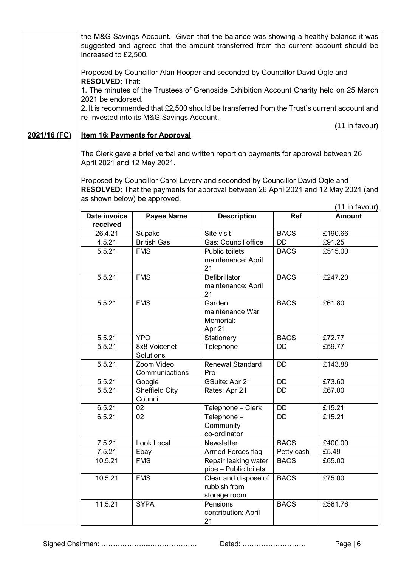|              | the M&G Savings Account. Given that the balance was showing a healthy balance it was<br>suggested and agreed that the amount transferred from the current account should be<br>increased to £2,500. |                                           |                                                                                                                                                                       |             |                |  |
|--------------|-----------------------------------------------------------------------------------------------------------------------------------------------------------------------------------------------------|-------------------------------------------|-----------------------------------------------------------------------------------------------------------------------------------------------------------------------|-------------|----------------|--|
|              | Proposed by Councillor Alan Hooper and seconded by Councillor David Ogle and<br><b>RESOLVED: That: -</b>                                                                                            |                                           |                                                                                                                                                                       |             |                |  |
|              | 2021 be endorsed.                                                                                                                                                                                   |                                           | 1. The minutes of the Trustees of Grenoside Exhibition Account Charity held on 25 March                                                                               |             |                |  |
|              |                                                                                                                                                                                                     | re-invested into its M&G Savings Account. | 2. It is recommended that £2,500 should be transferred from the Trust's current account and                                                                           |             |                |  |
| 2021/16 (FC) |                                                                                                                                                                                                     | <b>Item 16: Payments for Approval</b>     |                                                                                                                                                                       |             | (11 in favour) |  |
|              | April 2021 and 12 May 2021.                                                                                                                                                                         |                                           | The Clerk gave a brief verbal and written report on payments for approval between 26<br>Proposed by Councillor Carol Levery and seconded by Councillor David Ogle and |             |                |  |
|              | as shown below) be approved.                                                                                                                                                                        |                                           | RESOLVED: That the payments for approval between 26 April 2021 and 12 May 2021 (and                                                                                   |             | (11 in favour) |  |
|              | Date invoice<br>received                                                                                                                                                                            | <b>Payee Name</b>                         | <b>Description</b>                                                                                                                                                    | Ref         | <b>Amount</b>  |  |
|              | 26.4.21                                                                                                                                                                                             | Supake                                    | Site visit                                                                                                                                                            | <b>BACS</b> | £190.66        |  |
|              | 4.5.21                                                                                                                                                                                              | <b>British Gas</b>                        | Gas: Council office                                                                                                                                                   | DD          | £91.25         |  |
|              | 5.5.21                                                                                                                                                                                              | <b>FMS</b>                                | <b>Public toilets</b><br>maintenance: April<br>21                                                                                                                     | <b>BACS</b> | £515.00        |  |
|              | 5.5.21                                                                                                                                                                                              | <b>FMS</b>                                | Defibrillator<br>maintenance: April<br>21                                                                                                                             | <b>BACS</b> | £247.20        |  |
|              | 5.5.21                                                                                                                                                                                              | <b>FMS</b>                                | Garden<br>maintenance War<br>Memorial:<br>Apr 21                                                                                                                      | <b>BACS</b> | £61.80         |  |
|              | 5.5.21                                                                                                                                                                                              | <b>YPO</b>                                | Stationery                                                                                                                                                            | <b>BACS</b> | £72.77         |  |
|              | 5.5.21                                                                                                                                                                                              | 8x8 Voicenet<br>Solutions                 | Telephone                                                                                                                                                             | DD          | £59.77         |  |
|              | 5.5.21                                                                                                                                                                                              | Zoom Video<br>Communications              | <b>Renewal Standard</b><br>Pro                                                                                                                                        | <b>DD</b>   | £143.88        |  |
|              | 5.5.21                                                                                                                                                                                              | Google                                    | GSuite: Apr 21                                                                                                                                                        | DD          | £73.60         |  |
|              | 5.5.21                                                                                                                                                                                              | Sheffield City<br>Council                 | Rates: Apr 21                                                                                                                                                         | <b>DD</b>   | £67.00         |  |
|              | 6.5.21                                                                                                                                                                                              | 02                                        | Telephone - Clerk                                                                                                                                                     | <b>DD</b>   | £15.21         |  |
|              | 6.5.21                                                                                                                                                                                              | 02                                        | Telephone -<br>Community<br>co-ordinator                                                                                                                              | <b>DD</b>   | £15.21         |  |
|              | 7.5.21                                                                                                                                                                                              | Look Local                                | Newsletter                                                                                                                                                            | <b>BACS</b> | £400.00        |  |
|              | 7.5.21                                                                                                                                                                                              | Ebay                                      | Armed Forces flag                                                                                                                                                     | Petty cash  | £5.49          |  |
|              | 10.5.21                                                                                                                                                                                             | <b>FMS</b>                                | Repair leaking water<br>pipe - Public toilets                                                                                                                         | <b>BACS</b> | £65.00         |  |
|              | 10.5.21                                                                                                                                                                                             | <b>FMS</b>                                | Clear and dispose of<br>rubbish from<br>storage room                                                                                                                  | <b>BACS</b> | £75.00         |  |
|              | 11.5.21                                                                                                                                                                                             | <b>SYPA</b>                               | Pensions<br>contribution: April<br>21                                                                                                                                 | <b>BACS</b> | £561.76        |  |

Signed Chairman: ……………….....………………. Dated: ……………………… Page | 6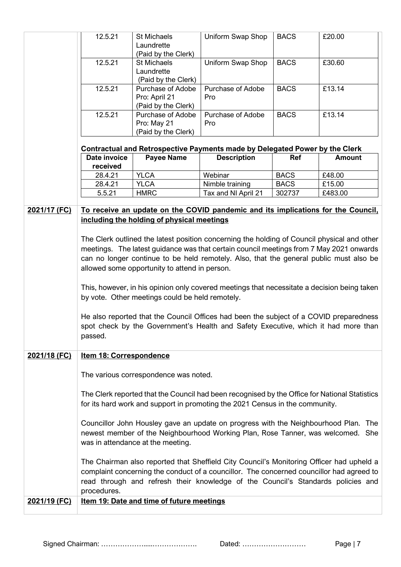|              | 12.5.21                                                                                                                                                                                                                                                                                                                           | St Michaels                                | Uniform Swap Shop                                                                  | <b>BACS</b> | £20.00        |
|--------------|-----------------------------------------------------------------------------------------------------------------------------------------------------------------------------------------------------------------------------------------------------------------------------------------------------------------------------------|--------------------------------------------|------------------------------------------------------------------------------------|-------------|---------------|
|              | Laundrette                                                                                                                                                                                                                                                                                                                        |                                            |                                                                                    |             |               |
|              |                                                                                                                                                                                                                                                                                                                                   |                                            |                                                                                    |             |               |
|              | (Paid by the Clerk)<br>12.5.21<br>St Michaels                                                                                                                                                                                                                                                                                     |                                            | Uniform Swap Shop                                                                  | <b>BACS</b> | £30.60        |
|              | Laundrette                                                                                                                                                                                                                                                                                                                        |                                            |                                                                                    |             |               |
|              |                                                                                                                                                                                                                                                                                                                                   | (Paid by the Clerk)                        |                                                                                    |             |               |
|              | 12.5.21                                                                                                                                                                                                                                                                                                                           | Purchase of Adobe                          | Purchase of Adobe                                                                  | <b>BACS</b> | £13.14        |
|              |                                                                                                                                                                                                                                                                                                                                   | Pro: April 21                              | Pro                                                                                |             |               |
|              |                                                                                                                                                                                                                                                                                                                                   |                                            |                                                                                    |             |               |
|              | 12.5.21                                                                                                                                                                                                                                                                                                                           | (Paid by the Clerk)                        | Purchase of Adobe                                                                  | <b>BACS</b> | £13.14        |
|              |                                                                                                                                                                                                                                                                                                                                   | Purchase of Adobe                          |                                                                                    |             |               |
|              |                                                                                                                                                                                                                                                                                                                                   | Pro: May 21                                | Pro                                                                                |             |               |
|              |                                                                                                                                                                                                                                                                                                                                   | (Paid by the Clerk)                        |                                                                                    |             |               |
|              |                                                                                                                                                                                                                                                                                                                                   |                                            | <b>Contractual and Retrospective Payments made by Delegated Power by the Clerk</b> |             |               |
|              | Date invoice                                                                                                                                                                                                                                                                                                                      | <b>Payee Name</b>                          | <b>Description</b>                                                                 | Ref         | <b>Amount</b> |
|              | received                                                                                                                                                                                                                                                                                                                          |                                            |                                                                                    |             |               |
|              | 28.4.21                                                                                                                                                                                                                                                                                                                           | <b>YLCA</b>                                | Webinar                                                                            | <b>BACS</b> | £48.00        |
|              | 28.4.21                                                                                                                                                                                                                                                                                                                           | <b>YLCA</b>                                | Nimble training                                                                    | <b>BACS</b> | £15.00        |
|              | 5.5.21                                                                                                                                                                                                                                                                                                                            | <b>HMRC</b>                                | Tax and NI April 21                                                                | 302737      | £483.00       |
|              |                                                                                                                                                                                                                                                                                                                                   |                                            |                                                                                    |             |               |
| 2021/17 (FC) |                                                                                                                                                                                                                                                                                                                                   | including the holding of physical meetings | To receive an update on the COVID pandemic and its implications for the Council.   |             |               |
|              | The Clerk outlined the latest position concerning the holding of Council physical and other<br>meetings. The latest guidance was that certain council meetings from 7 May 2021 onwards<br>can no longer continue to be held remotely. Also, that the general public must also be<br>allowed some opportunity to attend in person. |                                            |                                                                                    |             |               |
|              | This, however, in his opinion only covered meetings that necessitate a decision being taken                                                                                                                                                                                                                                       |                                            |                                                                                    |             |               |
|              | by vote. Other meetings could be held remotely.                                                                                                                                                                                                                                                                                   |                                            |                                                                                    |             |               |
|              | He also reported that the Council Offices had been the subject of a COVID preparedness<br>spot check by the Government's Health and Safety Executive, which it had more than<br>passed.                                                                                                                                           |                                            |                                                                                    |             |               |
| 2021/18 (FC) | <b>Item 18: Correspondence</b>                                                                                                                                                                                                                                                                                                    |                                            |                                                                                    |             |               |
|              | The various correspondence was noted.                                                                                                                                                                                                                                                                                             |                                            |                                                                                    |             |               |
|              | The Clerk reported that the Council had been recognised by the Office for National Statistics<br>for its hard work and support in promoting the 2021 Census in the community.                                                                                                                                                     |                                            |                                                                                    |             |               |
|              | Councillor John Housley gave an update on progress with the Neighbourhood Plan. The<br>newest member of the Neighbourhood Working Plan, Rose Tanner, was welcomed. She<br>was in attendance at the meeting.                                                                                                                       |                                            |                                                                                    |             |               |
|              | The Chairman also reported that Sheffield City Council's Monitoring Officer had upheld a<br>complaint concerning the conduct of a councillor. The concerned councillor had agreed to<br>read through and refresh their knowledge of the Council's Standards policies and<br>procedures.                                           |                                            |                                                                                    |             |               |
| 2021/19 (FC) |                                                                                                                                                                                                                                                                                                                                   | Item 19: Date and time of future meetings  |                                                                                    |             |               |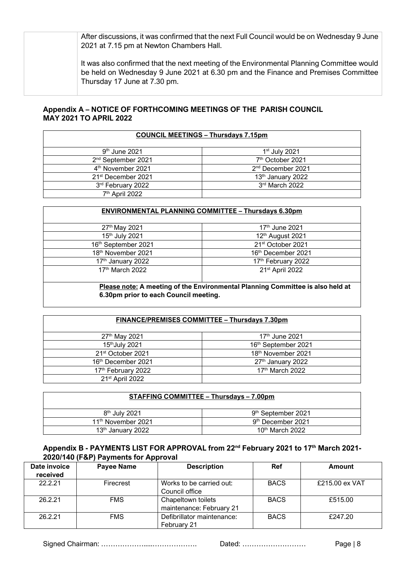After discussions, it was confirmed that the next Full Council would be on Wednesday 9 June 2021 at 7.15 pm at Newton Chambers Hall.

It was also confirmed that the next meeting of the Environmental Planning Committee would be held on Wednesday 9 June 2021 at 6.30 pm and the Finance and Premises Committee Thursday 17 June at 7.30 pm.

3rd March 2022

### **Appendix A – NOTICE OF FORTHCOMING MEETINGS OF THE PARISH COUNCIL MAY 2021 TO APRIL 2022**

| <b>COUNCIL MEETINGS - Thursdays 7.15pm</b> |                               |  |  |
|--------------------------------------------|-------------------------------|--|--|
| $9th$ June 2021                            | $1st$ July 2021               |  |  |
| 2 <sup>nd</sup> September 2021             | 7 <sup>th</sup> October 2021  |  |  |
| 4 <sup>th</sup> November 2021              | 2 <sup>nd</sup> December 2021 |  |  |
| 21 <sup>st</sup> December 2021             | 13 <sup>th</sup> January 2022 |  |  |

| 3rd February 2022          | 3rd March 2022                                             |
|----------------------------|------------------------------------------------------------|
| 7 <sup>th</sup> April 2022 |                                                            |
|                            |                                                            |
|                            | <b>ENVIRONMENTAL PLANNING COMMITTEE - Thursdays 6.30pm</b> |
|                            |                                                            |
| 27th May 2021              | $17th$ June 2021                                           |
| 15th July 2021             | 12th August 2021                                           |
| 16th September 2021        | 21 <sup>st</sup> October 2021                              |
| 18th November 2021         | 16th December 2021                                         |
| 17th January 2022          | 17th February 2022                                         |
| 17th March 2022            | 21 <sup>st</sup> April 2022                                |
|                            |                                                            |

**Please note: A meeting of the Environmental Planning Committee is also held at 6.30pm prior to each Council meeting.**

| FINANCE/PREMISES COMMITTEE - Thursdays 7.30pm |                               |  |  |
|-----------------------------------------------|-------------------------------|--|--|
| 27th May 2021                                 | 17 <sup>th</sup> June 2021    |  |  |
| 15th July 2021                                | 16th September 2021           |  |  |
| 21 <sup>st</sup> October 2021                 | 18th November 2021            |  |  |
| 16 <sup>th</sup> December 2021                | 27 <sup>th</sup> January 2022 |  |  |
| 17th February 2022                            | 17 <sup>th</sup> March 2022   |  |  |
| 21 <sup>st</sup> April 2022                   |                               |  |  |

| <b>STAFFING COMMITTEE - Thursdays - 7.00pm</b> |                                |  |  |  |
|------------------------------------------------|--------------------------------|--|--|--|
| $8th$ July 2021                                | 9 <sup>th</sup> September 2021 |  |  |  |
| 11 <sup>th</sup> November 2021                 | 9 <sup>th</sup> December 2021  |  |  |  |
| 13 <sup>th</sup> January 2022                  | 10 <sup>th</sup> March 2022    |  |  |  |

#### **Appendix B - PAYMENTS LIST FOR APPROVAL from 22nd February 2021 to 17th March 2021- 2020/140 (F&P) Payments for Approval**

| Date invoice<br>received | <b>Payee Name</b> | <b>Description</b>                             | <b>Ref</b>  | <b>Amount</b>  |
|--------------------------|-------------------|------------------------------------------------|-------------|----------------|
| 22221                    | Firecrest         | Works to be carried out:<br>Council office     | <b>BACS</b> | £215.00 ex VAT |
| 26.2.21                  | <b>FMS</b>        | Chapeltown toilets<br>maintenance: February 21 | <b>BACS</b> | £515.00        |
| 26.2.21                  | <b>FMS</b>        | Defibrillator maintenance:<br>February 21      | <b>BACS</b> | £247.20        |